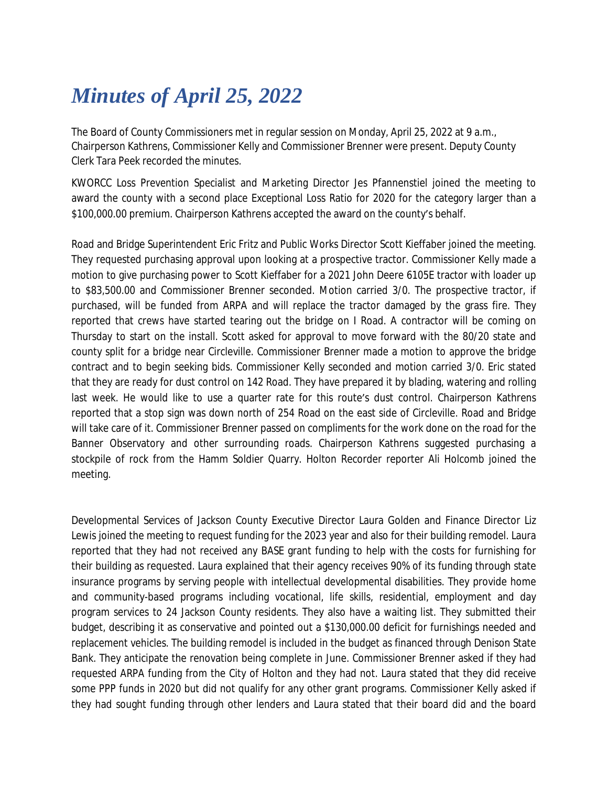## *Minutes of April 25, 2022*

The Board of County Commissioners met in regular session on Monday, April 25, 2022 at 9 a.m., Chairperson Kathrens, Commissioner Kelly and Commissioner Brenner were present. Deputy County Clerk Tara Peek recorded the minutes.

KWORCC Loss Prevention Specialist and Marketing Director Jes Pfannenstiel joined the meeting to award the county with a second place Exceptional Loss Ratio for 2020 for the category larger than a \$100,000.00 premium. Chairperson Kathrens accepted the award on the county's behalf.

Road and Bridge Superintendent Eric Fritz and Public Works Director Scott Kieffaber joined the meeting. They requested purchasing approval upon looking at a prospective tractor. Commissioner Kelly made a motion to give purchasing power to Scott Kieffaber for a 2021 John Deere 6105E tractor with loader up to \$83,500.00 and Commissioner Brenner seconded. Motion carried 3/0. The prospective tractor, if purchased, will be funded from ARPA and will replace the tractor damaged by the grass fire. They reported that crews have started tearing out the bridge on I Road. A contractor will be coming on Thursday to start on the install. Scott asked for approval to move forward with the 80/20 state and county split for a bridge near Circleville. Commissioner Brenner made a motion to approve the bridge contract and to begin seeking bids. Commissioner Kelly seconded and motion carried 3/0. Eric stated that they are ready for dust control on 142 Road. They have prepared it by blading, watering and rolling last week. He would like to use a quarter rate for this route's dust control. Chairperson Kathrens reported that a stop sign was down north of 254 Road on the east side of Circleville. Road and Bridge will take care of it. Commissioner Brenner passed on compliments for the work done on the road for the Banner Observatory and other surrounding roads. Chairperson Kathrens suggested purchasing a stockpile of rock from the Hamm Soldier Quarry. Holton Recorder reporter Ali Holcomb joined the meeting.

Developmental Services of Jackson County Executive Director Laura Golden and Finance Director Liz Lewis joined the meeting to request funding for the 2023 year and also for their building remodel. Laura reported that they had not received any BASE grant funding to help with the costs for furnishing for their building as requested. Laura explained that their agency receives 90% of its funding through state insurance programs by serving people with intellectual developmental disabilities. They provide home and community-based programs including vocational, life skills, residential, employment and day program services to 24 Jackson County residents. They also have a waiting list. They submitted their budget, describing it as conservative and pointed out a \$130,000.00 deficit for furnishings needed and replacement vehicles. The building remodel is included in the budget as financed through Denison State Bank. They anticipate the renovation being complete in June. Commissioner Brenner asked if they had requested ARPA funding from the City of Holton and they had not. Laura stated that they did receive some PPP funds in 2020 but did not qualify for any other grant programs. Commissioner Kelly asked if they had sought funding through other lenders and Laura stated that their board did and the board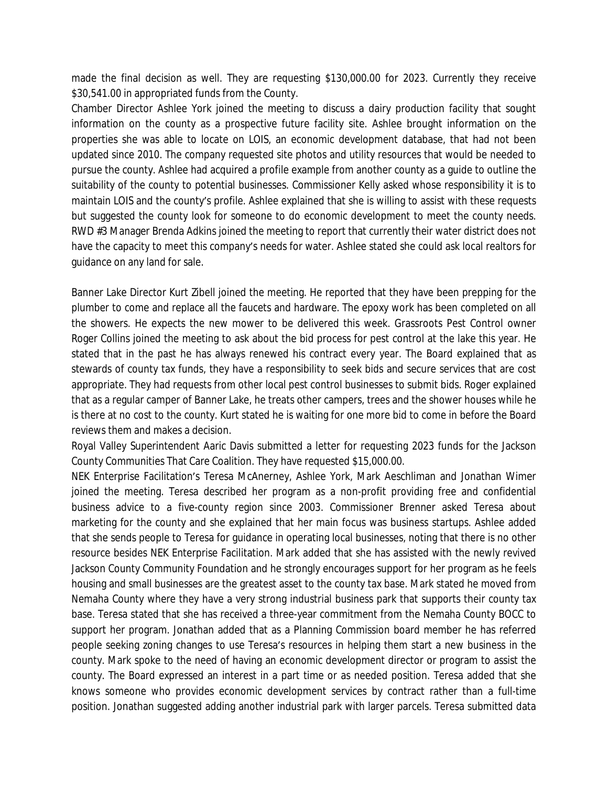made the final decision as well. They are requesting \$130,000.00 for 2023. Currently they receive \$30,541.00 in appropriated funds from the County.

Chamber Director Ashlee York joined the meeting to discuss a dairy production facility that sought information on the county as a prospective future facility site. Ashlee brought information on the properties she was able to locate on LOIS, an economic development database, that had not been updated since 2010. The company requested site photos and utility resources that would be needed to pursue the county. Ashlee had acquired a profile example from another county as a guide to outline the suitability of the county to potential businesses. Commissioner Kelly asked whose responsibility it is to maintain LOIS and the county's profile. Ashlee explained that she is willing to assist with these requests but suggested the county look for someone to do economic development to meet the county needs. RWD #3 Manager Brenda Adkins joined the meeting to report that currently their water district does not have the capacity to meet this company's needs for water. Ashlee stated she could ask local realtors for guidance on any land for sale.

Banner Lake Director Kurt Zibell joined the meeting. He reported that they have been prepping for the plumber to come and replace all the faucets and hardware. The epoxy work has been completed on all the showers. He expects the new mower to be delivered this week. Grassroots Pest Control owner Roger Collins joined the meeting to ask about the bid process for pest control at the lake this year. He stated that in the past he has always renewed his contract every year. The Board explained that as stewards of county tax funds, they have a responsibility to seek bids and secure services that are cost appropriate. They had requests from other local pest control businesses to submit bids. Roger explained that as a regular camper of Banner Lake, he treats other campers, trees and the shower houses while he is there at no cost to the county. Kurt stated he is waiting for one more bid to come in before the Board reviews them and makes a decision.

Royal Valley Superintendent Aaric Davis submitted a letter for requesting 2023 funds for the Jackson County Communities That Care Coalition. They have requested \$15,000.00.

NEK Enterprise Facilitation's Teresa McAnerney, Ashlee York, Mark Aeschliman and Jonathan Wimer joined the meeting. Teresa described her program as a non-profit providing free and confidential business advice to a five-county region since 2003. Commissioner Brenner asked Teresa about marketing for the county and she explained that her main focus was business startups. Ashlee added that she sends people to Teresa for guidance in operating local businesses, noting that there is no other resource besides NEK Enterprise Facilitation. Mark added that she has assisted with the newly revived Jackson County Community Foundation and he strongly encourages support for her program as he feels housing and small businesses are the greatest asset to the county tax base. Mark stated he moved from Nemaha County where they have a very strong industrial business park that supports their county tax base. Teresa stated that she has received a three-year commitment from the Nemaha County BOCC to support her program. Jonathan added that as a Planning Commission board member he has referred people seeking zoning changes to use Teresa's resources in helping them start a new business in the county. Mark spoke to the need of having an economic development director or program to assist the county. The Board expressed an interest in a part time or as needed position. Teresa added that she knows someone who provides economic development services by contract rather than a full-time position. Jonathan suggested adding another industrial park with larger parcels. Teresa submitted data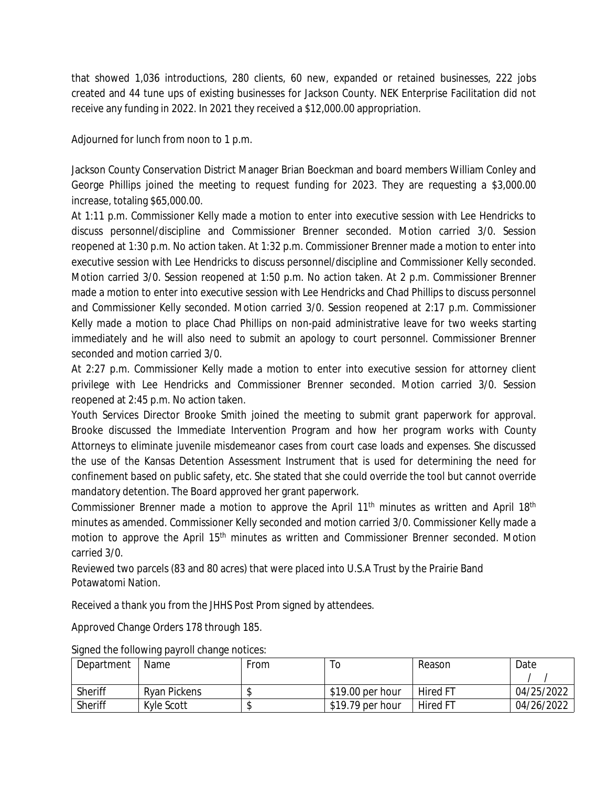that showed 1,036 introductions, 280 clients, 60 new, expanded or retained businesses, 222 jobs created and 44 tune ups of existing businesses for Jackson County. NEK Enterprise Facilitation did not receive any funding in 2022. In 2021 they received a \$12,000.00 appropriation.

Adjourned for lunch from noon to 1 p.m.

Jackson County Conservation District Manager Brian Boeckman and board members William Conley and George Phillips joined the meeting to request funding for 2023. They are requesting a \$3,000.00 increase, totaling \$65,000.00.

At 1:11 p.m. Commissioner Kelly made a motion to enter into executive session with Lee Hendricks to discuss personnel/discipline and Commissioner Brenner seconded. Motion carried 3/0. Session reopened at 1:30 p.m. No action taken. At 1:32 p.m. Commissioner Brenner made a motion to enter into executive session with Lee Hendricks to discuss personnel/discipline and Commissioner Kelly seconded. Motion carried 3/0. Session reopened at 1:50 p.m. No action taken. At 2 p.m. Commissioner Brenner made a motion to enter into executive session with Lee Hendricks and Chad Phillips to discuss personnel and Commissioner Kelly seconded. Motion carried 3/0. Session reopened at 2:17 p.m. Commissioner Kelly made a motion to place Chad Phillips on non-paid administrative leave for two weeks starting immediately and he will also need to submit an apology to court personnel. Commissioner Brenner seconded and motion carried 3/0.

At 2:27 p.m. Commissioner Kelly made a motion to enter into executive session for attorney client privilege with Lee Hendricks and Commissioner Brenner seconded. Motion carried 3/0. Session reopened at 2:45 p.m. No action taken.

Youth Services Director Brooke Smith joined the meeting to submit grant paperwork for approval. Brooke discussed the Immediate Intervention Program and how her program works with County Attorneys to eliminate juvenile misdemeanor cases from court case loads and expenses. She discussed the use of the Kansas Detention Assessment Instrument that is used for determining the need for confinement based on public safety, etc. She stated that she could override the tool but cannot override mandatory detention. The Board approved her grant paperwork.

Commissioner Brenner made a motion to approve the April 11<sup>th</sup> minutes as written and April 18<sup>th</sup> minutes as amended. Commissioner Kelly seconded and motion carried 3/0. Commissioner Kelly made a motion to approve the April 15<sup>th</sup> minutes as written and Commissioner Brenner seconded. Motion carried 3/0.

Reviewed two parcels (83 and 80 acres) that were placed into U.S.A Trust by the Prairie Band Potawatomi Nation.

Received a thank you from the JHHS Post Prom signed by attendees.

Approved Change Orders 178 through 185.

| Department | Name                | From |                  | Reason          | Date       |
|------------|---------------------|------|------------------|-----------------|------------|
| Sheriff    | <b>Ryan Pickens</b> |      | \$19.00 per hour | <b>Hired FT</b> | 04/25/2022 |
| Sheriff    | Kyle Scott          |      | \$19.79 per hour | <b>Hired FT</b> | 04/26/2022 |

Signed the following payroll change notices: